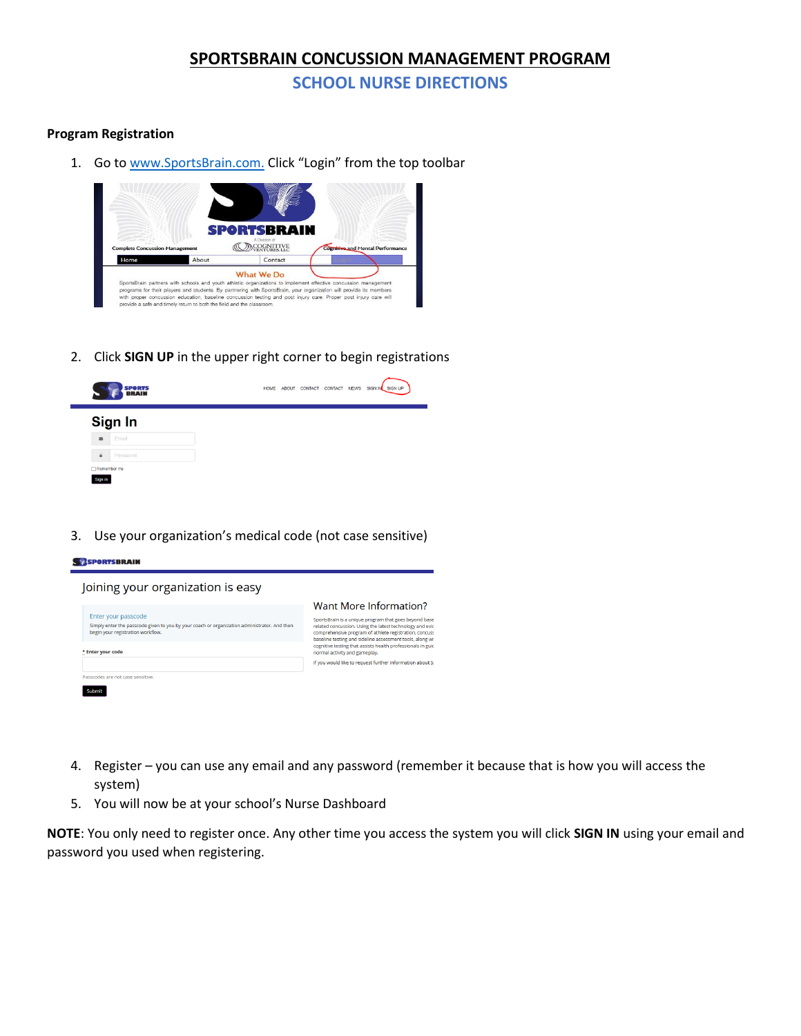### **SPORTSBRAIN CONCUSSION MANAGEMENT PROGRAM**

**SCHOOL NURSE DIRECTIONS**

#### **Program Registration**

п

1. Go to [www.SportsBrain.com.](http://www.sportsbrain.com/) Click "Login" from the top toolbar



2. Click **SIGN UP** in the upper right corner to begin registrations

| <b>SPORTS</b><br><b>BRAIN</b>  |  | HOME ABOUT CONTACT CONTACT | <b>NEWS</b> | SIGN IN SIGN UP |
|--------------------------------|--|----------------------------|-------------|-----------------|
| Sign In                        |  |                            |             |                 |
| Email<br>$\Xi$                 |  |                            |             |                 |
| $\hat{\mathbf{u}}$<br>Password |  |                            |             |                 |
| Remember me<br>Sion in         |  |                            |             |                 |

3. Use your organization's medical code (not case sensitive)

| Joining your organization is easy                                                                                                                        |                                                                                                                                                                                                                                         |
|----------------------------------------------------------------------------------------------------------------------------------------------------------|-----------------------------------------------------------------------------------------------------------------------------------------------------------------------------------------------------------------------------------------|
|                                                                                                                                                          | Want More Information?                                                                                                                                                                                                                  |
| Enter your passcode<br>Simply enter the passcode given to you by your coach or organization administrator. And then<br>begin your registration workflow. | SportsBrain is a unique program that goes beyond base<br>related concussion. Using the latest technology and evic<br>comprehensive program of athlete registration, concuss<br>baseline testing and sideline assessment tools, along wi |
| * Enter your code                                                                                                                                        | cognitive testing that assists health professionals in guid<br>normal activity and gameplay.                                                                                                                                            |
|                                                                                                                                                          | If you would like to request further information about Si                                                                                                                                                                               |

- 4. Register you can use any email and any password (remember it because that is how you will access the system)
- 5. You will now be at your school's Nurse Dashboard

**NOTE**: You only need to register once. Any other time you access the system you will click **SIGN IN** using your email and password you used when registering.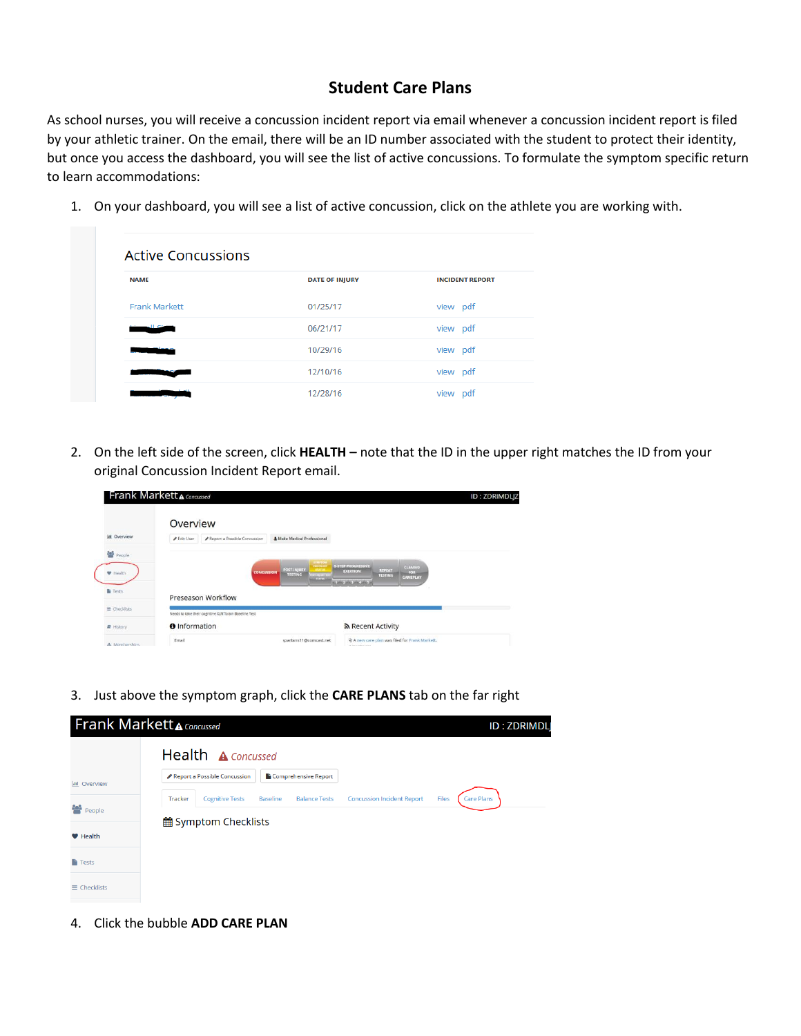### **Student Care Plans**

As school nurses, you will receive a concussion incident report via email whenever a concussion incident report is filed by your athletic trainer. On the email, there will be an ID number associated with the student to protect their identity, but once you access the dashboard, you will see the list of active concussions. To formulate the symptom specific return to learn accommodations:

1. On your dashboard, you will see a list of active concussion, click on the athlete you are working with.

| <b>Active Concussions</b> |                       |                        |
|---------------------------|-----------------------|------------------------|
| <b>NAME</b>               | <b>DATE OF INJURY</b> | <b>INCIDENT REPORT</b> |
| <b>Frank Markett</b>      | 01/25/17              | view pdf               |
|                           | 06/21/17              | view pdf               |
|                           | 10/29/16              | view pdf               |
|                           | 12/10/16              | view pdf               |
|                           | 12/28/16              | view pdf               |

2. On the left side of the screen, click **HEALTH –** note that the ID in the upper right matches the ID from your original Concussion Incident Report email.

|                         | <b>Frank Markett A Concussed</b>                                              |                                                                                        |                                                                          | <b>ID: ZDRIMDLJZ</b> |
|-------------------------|-------------------------------------------------------------------------------|----------------------------------------------------------------------------------------|--------------------------------------------------------------------------|----------------------|
|                         | Overview                                                                      |                                                                                        |                                                                          |                      |
| <b>Laid</b><br>Overview | P Report a Possible Concussion<br><b># Edit User</b>                          | & Make Medical Professional                                                            |                                                                          |                      |
| People                  |                                                                               |                                                                                        |                                                                          |                      |
| <b>W</b> Health         |                                                                               | ETMPTON<br>CHECKLIS<br><b>POST-INJURY</b><br><b><i>STATUS</i></b><br><b>CONCUSSION</b> | <b>S-STEP PROGRESSIVE</b><br>CLEARED<br>REPEAT<br><b>EXERTION</b><br>FOR |                      |
|                         |                                                                               | <b>TESTING</b><br><b>OTHER LEADER</b><br><b>STATUS</b>                                 | <b>TESTING</b><br><b>GAMEPLAY</b><br>ANY JAPAN JAPAN, SANG-J             |                      |
| Fests                   | Preseason Workflow                                                            |                                                                                        |                                                                          |                      |
| $\equiv$ Checklists     |                                                                               |                                                                                        |                                                                          |                      |
|                         | Needs to take their cognitive XLNTbrain Baseline Test<br><b>O</b> Information |                                                                                        | ה Recent Activity                                                        |                      |
| <b>R</b> History        |                                                                               |                                                                                        |                                                                          |                      |
| <b>A.</b> Mambarchine   | Email                                                                         | spartans11@comcast.net                                                                 | Vr A new care plan was filed for Frank Markett.<br>Winnipeggia in colora |                      |

3. Just above the symptom graph, click the **CARE PLANS** tab on the far right



4. Click the bubble **ADD CARE PLAN**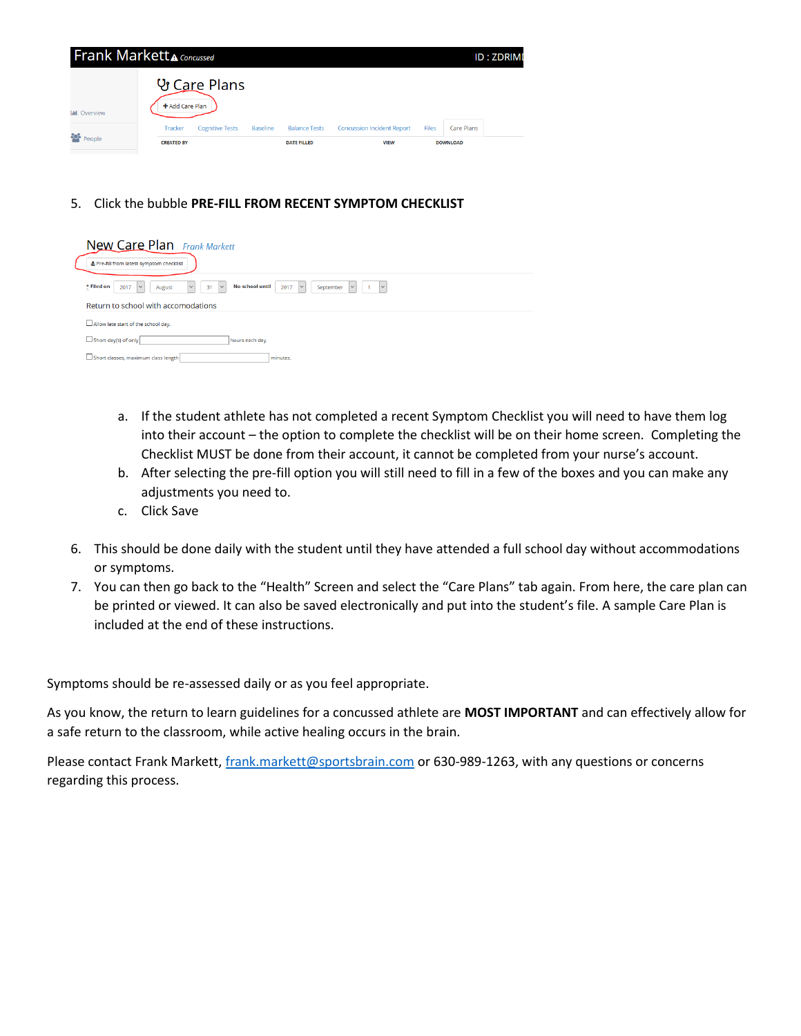

5. Click the bubble **PRE-FILL FROM RECENT SYMPTOM CHECKLIST**

|            | <b>New Care Plan</b> Frank Markett<br>& Pre-fill from latest symptom checklist                                                                                                |
|------------|-------------------------------------------------------------------------------------------------------------------------------------------------------------------------------|
| * Filed on | No school until<br>$\vert \vee$<br>$\vert \vee$<br>2017<br>September<br>31<br>2017<br>$\checkmark$<br>$\vee$<br>$\checkmark$<br>August<br>Return to school with accomodations |
|            | Allow late start of the school day.                                                                                                                                           |
|            | Short day(s) of only<br>hours each day.<br>Short classes, maximum class length<br>minutes.                                                                                    |

- a. If the student athlete has not completed a recent Symptom Checklist you will need to have them log into their account – the option to complete the checklist will be on their home screen. Completing the Checklist MUST be done from their account, it cannot be completed from your nurse's account.
- b. After selecting the pre-fill option you will still need to fill in a few of the boxes and you can make any adjustments you need to.
- c. Click Save
- 6. This should be done daily with the student until they have attended a full school day without accommodations or symptoms.
- 7. You can then go back to the "Health" Screen and select the "Care Plans" tab again. From here, the care plan can be printed or viewed. It can also be saved electronically and put into the student's file. A sample Care Plan is included at the end of these instructions.

Symptoms should be re-assessed daily or as you feel appropriate.

As you know, the return to learn guidelines for a concussed athlete are **MOST IMPORTANT** and can effectively allow for a safe return to the classroom, while active healing occurs in the brain.

Please contact Frank Markett, [frank.markett@sportsbrain.com](mailto:frank.markett@sportsbrain.com) or 630-989-1263, with any questions or concerns regarding this process.